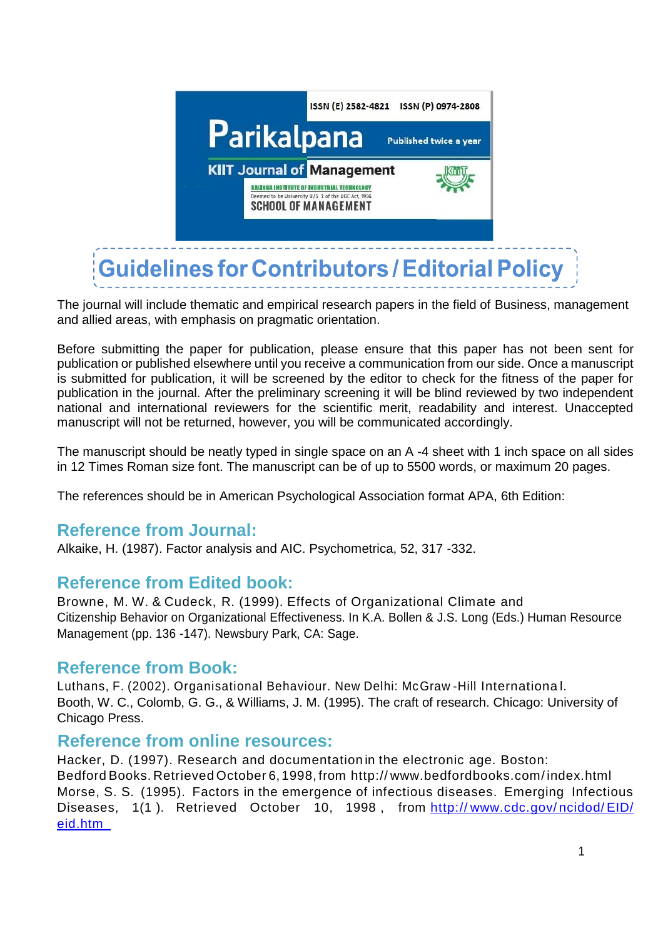

The journal will include thematic and empirical research papers in the field of Business, management and allied areas, with emphasis on pragmatic orientation.

Before submitting the paper for publication, please ensure that this paper has not been sent for publication or published elsewhere until you receive a communication from our side. Once a manuscript is submitted for publication, it will be screened by the editor to check for the fitness of the paper for publication in the journal. After the preliminary screening it will be blind reviewed by two independent national and international reviewers for the scientific merit, readability and interest. Unaccepted manuscript will not be returned, however, you will be communicated accordingly.

The manuscript should be neatly typed in single space on an A -4 sheet with 1 inch space on all sides in 12 Times Roman size font. The manuscript can be of up to 5500 words, or maximum 20 pages.

The references should be in American Psychological Association format APA, 6th Edition:

## **Reference from Journal:**

Alkaike, H. (1987). Factor analysis and AIC. Psychometrica, 52, 317 -332.

## **Reference from Edited book:**

Browne, M. W. & Cudeck, R. (1999). Effects of Organizational Climate and Citizenship Behavior on Organizational Effectiveness. In K.A. Bollen & J.S. Long (Eds.) Human Resource Management (pp. 136 -147). Newsbury Park, CA: Sage.

## **Reference from Book:**

Luthans, F. (2002). Organisational Behaviour. New Delhi: McGraw -Hill Internationa l. Booth, W. C., Colomb, G. G., & Williams, J. M. (1995). The craft of research. Chicago: University of Chicago Press.

#### **Reference from online resources:**

Hacker, D. (1997). Research and documentation in the electronic age. Boston: Bedford Books. Retrieved October 6, 1998, from http:// www.bedfordbooks.com/ index.html Morse, S. S. (1995). Factors in the emergence of infectious diseases. Emerging Infectious Diseases, 1(1). Retrieved October 10, 1998, from http://[www.cdc.gov/](http://www.cdc.gov/ncidod/EID/eid.htm)ncidod/EID/ [eid.htm](http://www.cdc.gov/ncidod/EID/eid.htm)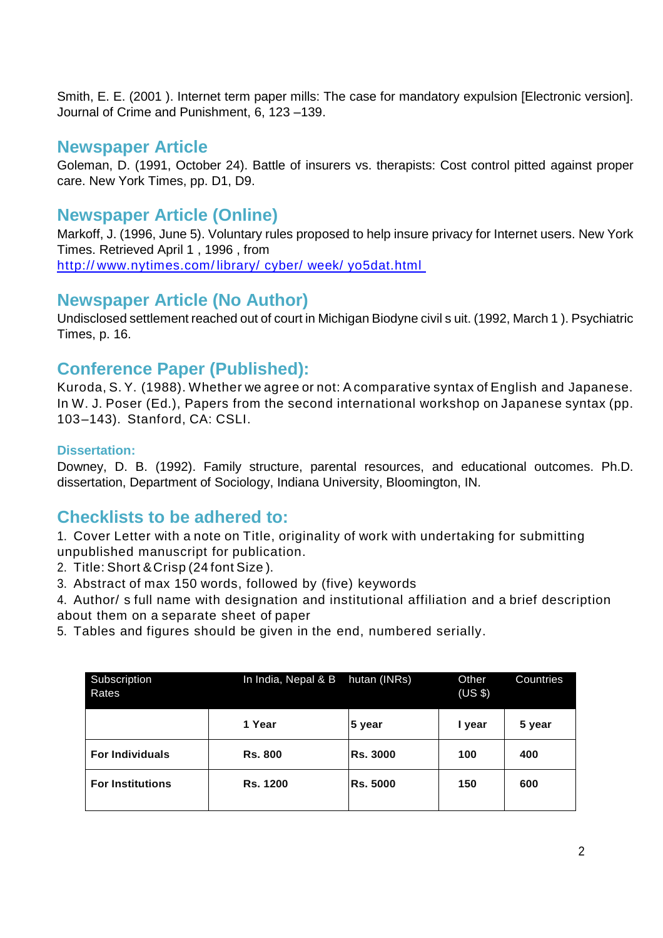Smith, E. E. (2001 ). Internet term paper mills: The case for mandatory expulsion [Electronic version]. Journal of Crime and Punishment, 6, 123 –139.

## **Newspaper Article**

Goleman, D. (1991, October 24). Battle of insurers vs. therapists: Cost control pitted against proper care. New York Times, pp. D1, D9.

## **Newspaper Article (Online)**

Markoff, J. (1996, June 5). Voluntary rules proposed to help insure privacy for Internet users. New York Times. Retrieved April 1 , 1996 , from

http:// www.nytimes.com/ [library/ cyber/ week/ yo5dat.html](http://www.nytimes.com/library/cyber/week/yo5dat.html)

# **Newspaper Article (No Author)**

Undisclosed settlement reached out of court in Michigan Biodyne civil s uit. (1992, March 1 ). Psychiatric Times, p. 16.

## **Conference Paper (Published):**

Kuroda, S. Y. (1988). Whether we agree or not: Acomparative syntax of English and Japanese. In W. J. Poser (Ed.), Papers from the second international workshop on Japanese syntax (pp. 103–143). Stanford, CA: CSLI.

#### **Dissertation:**

Downey, D. B. (1992). Family structure, parental resources, and educational outcomes. Ph.D. dissertation, Department of Sociology, Indiana University, Bloomington, IN.

# **Checklists to be adhered to:**

1. Cover Letter with a note on Title, originality of work with undertaking for submitting unpublished manuscript for publication.

- 2. Title: Short &Crisp (24 font Size ).
- 3. Abstract of max 150 words, followed by (five) keywords
- 4. Author/ s full name with designation and institutional affiliation and a brief description about them on a separate sheet of paper
- 5. Tables and figures should be given in the end, numbered serially.

| Subscription<br>Rates   | In India, Nepal & B | hutan (INRs)    | Other<br>(US \$) | Countries |
|-------------------------|---------------------|-----------------|------------------|-----------|
|                         | 1 Year              | 5 year          | I year           | 5 year    |
| <b>For Individuals</b>  | <b>Rs. 800</b>      | <b>Rs. 3000</b> | 100              | 400       |
| <b>For Institutions</b> | <b>Rs. 1200</b>     | <b>Rs. 5000</b> | 150              | 600       |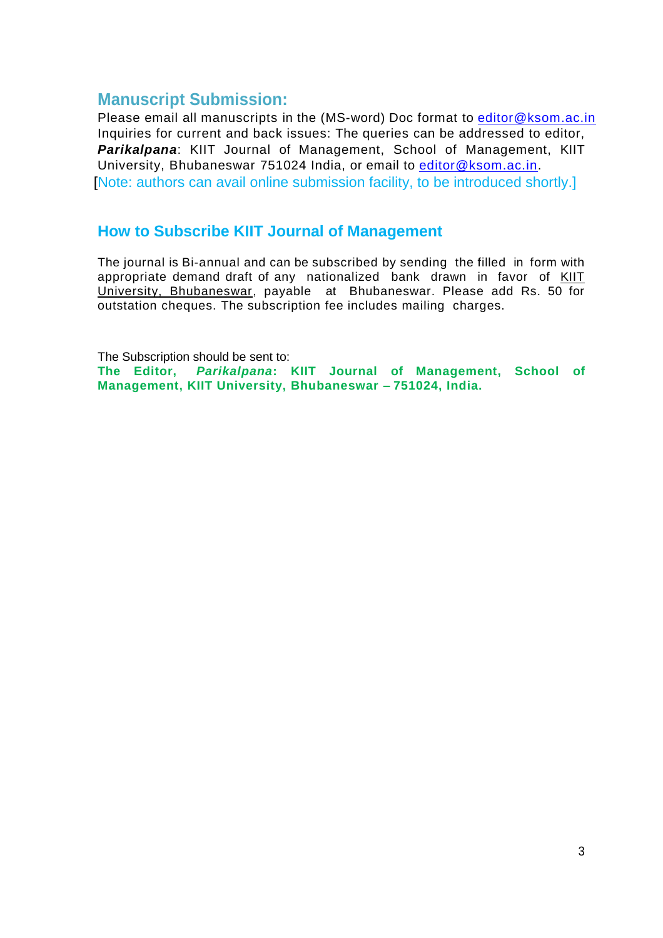## **Manuscript Submission:**

Please email all manuscripts in the (MS-word) Doc format to [editor@ksom.ac.in](mailto:editor@ksom.ac.in) Inquiries for current and back issues: The queries can be addressed to editor, *Parikalpana*: KIIT Journal of Management, School of Management, KIIT University, Bhubaneswar 751024 India, or email to [editor@ksom.ac.in.](mailto:editor@ksom.ac.in) [Note: authors can avail online submission facility, to be introduced shortly.]

## **How to Subscribe KIIT Journal of Management**

The journal is Bi-annual and can be subscribed by sending the filled in form with appropriate demand draft of any nationalized bank drawn in favor of KIIT University, Bhubaneswar, payable at Bhubaneswar. Please add Rs. 50 for outstation cheques. The subscription fee includes mailing charges.

The Subscription should be sent to: **The Editor,** *Parikalpana***: KIIT Journal of Management, School of Management, KIIT University, Bhubaneswar – 751024, India.**